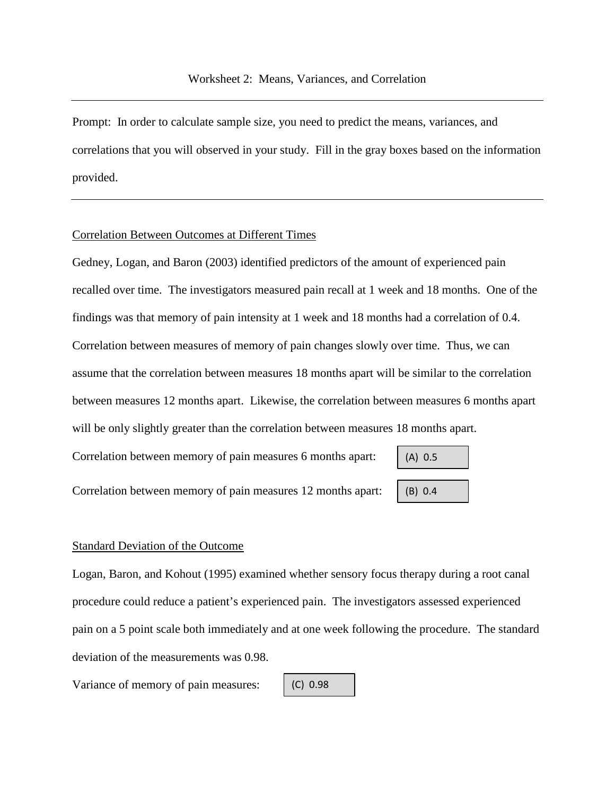Prompt: In order to calculate sample size, you need to predict the means, variances, and correlations that you will observed in your study. Fill in the gray boxes based on the information provided.

## Correlation Between Outcomes at Different Times

Gedney, Logan, and Baron (2003) identified predictors of the amount of experienced pain recalled over time. The investigators measured pain recall at 1 week and 18 months. One of the findings was that memory of pain intensity at 1 week and 18 months had a correlation of 0.4. Correlation between measures of memory of pain changes slowly over time. Thus, we can assume that the correlation between measures 18 months apart will be similar to the correlation between measures 12 months apart. Likewise, the correlation between measures 6 months apart will be only slightly greater than the correlation between measures 18 months apart.

Correlation between memory of pain measures 6 months apart:

(A) 0.5 (B) 0.4

Correlation between memory of pain measures 12 months apart:

## Standard Deviation of the Outcome

Logan, Baron, and Kohout (1995) examined whether sensory focus therapy during a root canal procedure could reduce a patient's experienced pain. The investigators assessed experienced pain on a 5 point scale both immediately and at one week following the procedure. The standard deviation of the measurements was 0.98.

Variance of memory of pain measures:

$$
(C) 0.98
$$